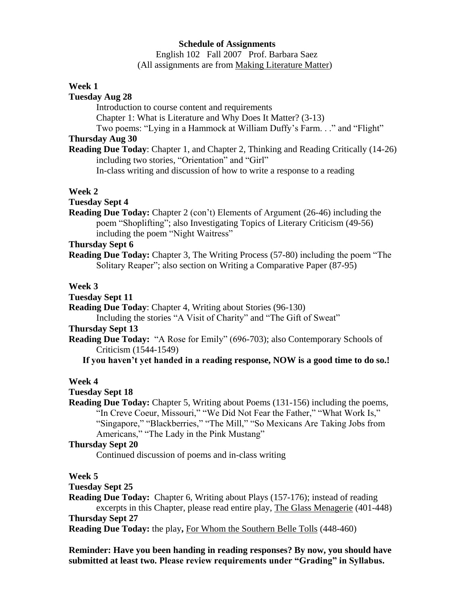### **Schedule of Assignments**

 English 102 Fall 2007 Prof. Barbara Saez (All assignments are from Making Literature Matter)

### **Week 1**

#### **Tuesday Aug 28**

Introduction to course content and requirements

Chapter 1: What is Literature and Why Does It Matter? (3-13)

Two poems: "Lying in a Hammock at William Duffy's Farm. . ." and "Flight"

# **Thursday Aug 30**

**Reading Due Today**: Chapter 1, and Chapter 2, Thinking and Reading Critically (14-26) including two stories, "Orientation" and "Girl"

In-class writing and discussion of how to write a response to a reading

### **Week 2**

## **Tuesday Sept 4**

**Reading Due Today:** Chapter 2 (con't) Elements of Argument (26-46) including the poem "Shoplifting"; also Investigating Topics of Literary Criticism (49-56) including the poem "Night Waitress"

## **Thursday Sept 6**

**Reading Due Today:** Chapter 3, The Writing Process (57-80) including the poem "The Solitary Reaper"; also section on Writing a Comparative Paper (87-95)

### **Week 3**

### **Tuesday Sept 11**

**Reading Due Today**: Chapter 4, Writing about Stories (96-130)

Including the stories "A Visit of Charity" and "The Gift of Sweat"

# **Thursday Sept 13**

**Reading Due Today:** "A Rose for Emily" (696-703); also Contemporary Schools of Criticism (1544-1549)

 **If you haven't yet handed in a reading response, NOW is a good time to do so.!**

## **Week 4**

## **Tuesday Sept 18**

**Reading Due Today:** Chapter 5, Writing about Poems (131-156) including the poems, "In Creve Coeur, Missouri," "We Did Not Fear the Father," "What Work Is," "Singapore," "Blackberries," "The Mill," "So Mexicans Are Taking Jobs from Americans," "The Lady in the Pink Mustang"

#### **Thursday Sept 20**

Continued discussion of poems and in-class writing

## **Week 5**

## **Tuesday Sept 25**

**Reading Due Today:** Chapter 6, Writing about Plays (157-176); instead of reading excerpts in this Chapter, please read entire play, The Glass Menagerie (401-448) **Thursday Sept 27**

**Reading Due Today:** the play**,** For Whom the Southern Belle Tolls (448-460)

**Reminder: Have you been handing in reading responses? By now, you should have submitted at least two. Please review requirements under "Grading" in Syllabus.**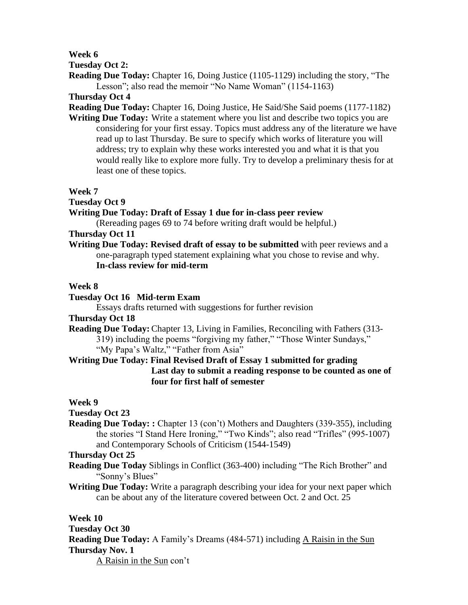**Week 6**

**Tuesday Oct 2:**

**Reading Due Today:** Chapter 16, Doing Justice (1105-1129) including the story, "The Lesson"; also read the memoir "No Name Woman" (1154-1163)

**Thursday Oct 4**

**Reading Due Today:** Chapter 16, Doing Justice, He Said/She Said poems (1177-1182)

**Writing Due Today:** Write a statement where you list and describe two topics you are considering for your first essay. Topics must address any of the literature we have read up to last Thursday. Be sure to specify which works of literature you will address; try to explain why these works interested you and what it is that you would really like to explore more fully. Try to develop a preliminary thesis for at least one of these topics.

**Week 7**

**Tuesday Oct 9** 

**Writing Due Today: Draft of Essay 1 due for in-class peer review**

(Rereading pages 69 to 74 before writing draft would be helpful.)

**Thursday Oct 11** 

**Writing Due Today: Revised draft of essay to be submitted** with peer reviews and a one-paragraph typed statement explaining what you chose to revise and why. **In-class review for mid-term**

# **Week 8**

# **Tuesday Oct 16 Mid-term Exam**

Essays drafts returned with suggestions for further revision

# **Thursday Oct 18**

**Reading Due Today:** Chapter 13, Living in Families, Reconciling with Fathers (313- 319) including the poems "forgiving my father," "Those Winter Sundays,"

"My Papa's Waltz," "Father from Asia"

**Writing Due Today: Final Revised Draft of Essay 1 submitted for grading Last day to submit a reading response to be counted as one of four for first half of semester**

**Week 9**

# **Tuesday Oct 23**

**Reading Due Today: :** Chapter 13 (con't) Mothers and Daughters (339-355), including the stories "I Stand Here Ironing," "Two Kinds"; also read "Trifles" (995-1007) and Contemporary Schools of Criticism (1544-1549)

**Thursday Oct 25** 

- **Reading Due Today** Siblings in Conflict (363-400) including "The Rich Brother" and "Sonny's Blues"
- **Writing Due Today:** Write a paragraph describing your idea for your next paper which can be about any of the literature covered between Oct. 2 and Oct. 25

**Week 10**

**Tuesday Oct 30 Reading Due Today:** A Family's Dreams (484-571) including A Raisin in the Sun **Thursday Nov. 1**  A Raisin in the Sun con't